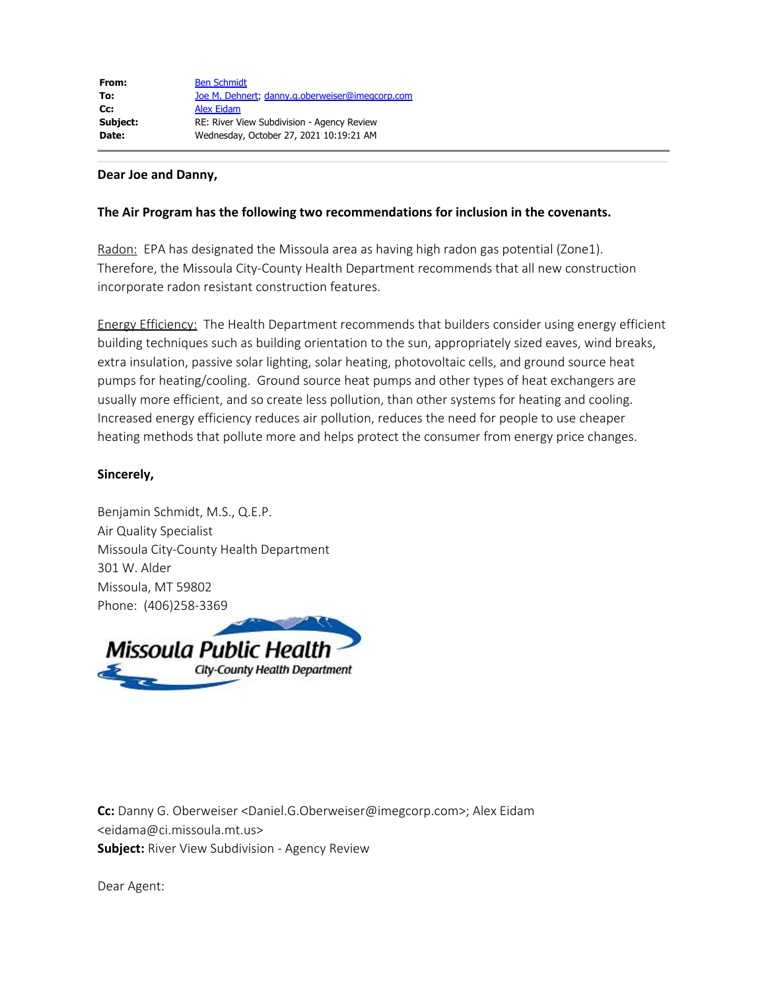## **Dear Joe and Danny,**

## **The Air Program has the following two recommendations for inclusion in the covenants.**

Radon: EPA has designated the Missoula area as having high radon gas potential (Zone1). Therefore, the Missoula City-County Health Department recommends that all new construction incorporate radon resistant construction features.

Energy Efficiency: The Health Department recommends that builders consider using energy efficient building techniques such as building orientation to the sun, appropriately sized eaves, wind breaks, extra insulation, passive solar lighting, solar heating, photovoltaic cells, and ground source heat pumps for heating/cooling. Ground source heat pumps and other types of heat exchangers are usually more efficient, and so create less pollution, than other systems for heating and cooling. Increased energy efficiency reduces air pollution, reduces the need for people to use cheaper heating methods that pollute more and helps protect the consumer from energy price changes.

## **Sincerely,**

Benjamin Schmidt, M.S., Q.E.P. Air Quality Specialist Missoula City-County Health Department 301 W. Alder Missoula, MT 59802 Phone: (406)258-3369



**Cc:** Danny G. Oberweiser <Daniel.G.Oberweiser@imegcorp.com>; Alex Eidam <eidama@ci.missoula.mt.us> **Subject:** River View Subdivision - Agency Review

Dear Agent: